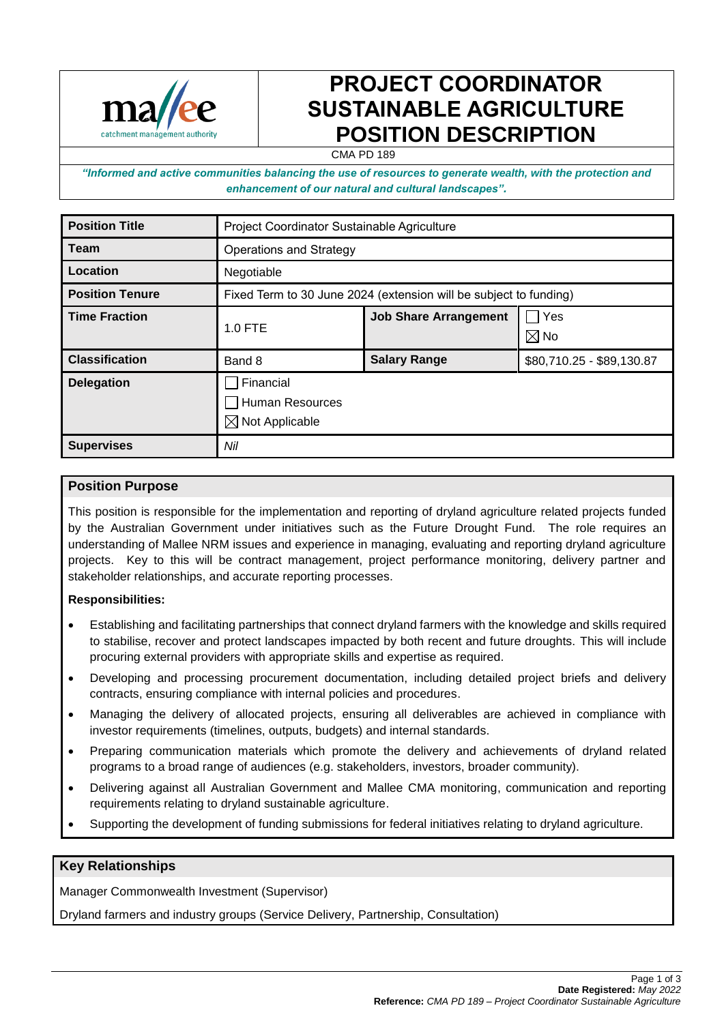

# **PROJECT COORDINATOR SUSTAINABLE AGRICULTURE POSITION DESCRIPTION**

CMA PD 189

*"Informed and active communities balancing the use of resources to generate wealth, with the protection and enhancement of our natural and cultural landscapes".*

| <b>Position Title</b>  | Project Coordinator Sustainable Agriculture                       |                              |                                |
|------------------------|-------------------------------------------------------------------|------------------------------|--------------------------------|
| Team                   | <b>Operations and Strategy</b>                                    |                              |                                |
| Location               | Negotiable                                                        |                              |                                |
| <b>Position Tenure</b> | Fixed Term to 30 June 2024 (extension will be subject to funding) |                              |                                |
| <b>Time Fraction</b>   | <b>1.0 FTE</b>                                                    | <b>Job Share Arrangement</b> | <b>P</b> Yes<br>$\boxtimes$ No |
| <b>Classification</b>  | Band 8                                                            | <b>Salary Range</b>          | \$80,710.25 - \$89,130.87      |
| <b>Delegation</b>      | Financial<br>Human Resources<br>$\boxtimes$ Not Applicable        |                              |                                |
| <b>Supervises</b>      | Nil                                                               |                              |                                |

## **Position Purpose**

This position is responsible for the implementation and reporting of dryland agriculture related projects funded by the Australian Government under initiatives such as the Future Drought Fund. The role requires an understanding of Mallee NRM issues and experience in managing, evaluating and reporting dryland agriculture projects. Key to this will be contract management, project performance monitoring, delivery partner and stakeholder relationships, and accurate reporting processes.

#### **Responsibilities:**

- Establishing and facilitating partnerships that connect dryland farmers with the knowledge and skills required to stabilise, recover and protect landscapes impacted by both recent and future droughts. This will include procuring external providers with appropriate skills and expertise as required.
- Developing and processing procurement documentation, including detailed project briefs and delivery contracts, ensuring compliance with internal policies and procedures.
- Managing the delivery of allocated projects, ensuring all deliverables are achieved in compliance with investor requirements (timelines, outputs, budgets) and internal standards.
- Preparing communication materials which promote the delivery and achievements of dryland related programs to a broad range of audiences (e.g. stakeholders, investors, broader community).
- Delivering against all Australian Government and Mallee CMA monitoring, communication and reporting requirements relating to dryland sustainable agriculture.
- Supporting the development of funding submissions for federal initiatives relating to dryland agriculture.

# **Key Relationships**

Manager Commonwealth Investment (Supervisor)

Dryland farmers and industry groups (Service Delivery, Partnership, Consultation)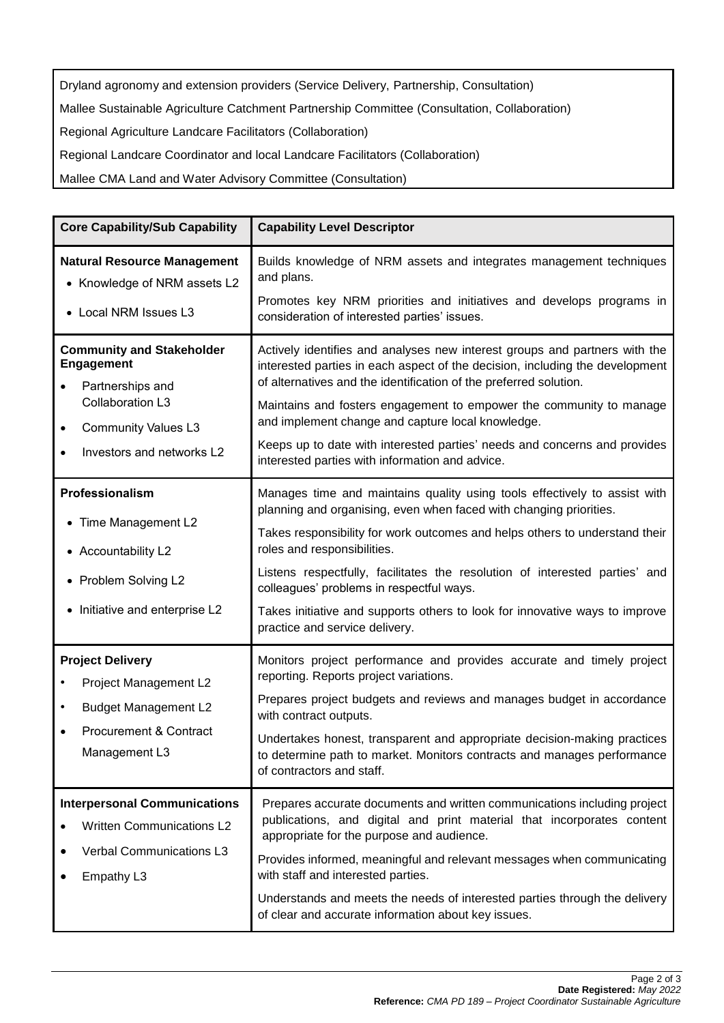Dryland agronomy and extension providers (Service Delivery, Partnership, Consultation) Mallee Sustainable Agriculture Catchment Partnership Committee (Consultation, Collaboration) Regional Agriculture Landcare Facilitators (Collaboration) Regional Landcare Coordinator and local Landcare Facilitators (Collaboration)

Mallee CMA Land and Water Advisory Committee (Consultation)

| <b>Core Capability/Sub Capability</b>                                                                                                                    | <b>Capability Level Descriptor</b>                                                                                                                                                                                                                                                                                                                                                                                                                                                                        |  |
|----------------------------------------------------------------------------------------------------------------------------------------------------------|-----------------------------------------------------------------------------------------------------------------------------------------------------------------------------------------------------------------------------------------------------------------------------------------------------------------------------------------------------------------------------------------------------------------------------------------------------------------------------------------------------------|--|
| <b>Natural Resource Management</b><br>• Knowledge of NRM assets L2<br>• Local NRM Issues L3                                                              | Builds knowledge of NRM assets and integrates management techniques<br>and plans.<br>Promotes key NRM priorities and initiatives and develops programs in<br>consideration of interested parties' issues.                                                                                                                                                                                                                                                                                                 |  |
| <b>Community and Stakeholder</b><br><b>Engagement</b><br>Partnerships and<br>Collaboration L3<br><b>Community Values L3</b><br>Investors and networks L2 | Actively identifies and analyses new interest groups and partners with the<br>interested parties in each aspect of the decision, including the development<br>of alternatives and the identification of the preferred solution.<br>Maintains and fosters engagement to empower the community to manage<br>and implement change and capture local knowledge.<br>Keeps up to date with interested parties' needs and concerns and provides<br>interested parties with information and advice.               |  |
| Professionalism<br>• Time Management L2<br>• Accountability L2<br>• Problem Solving L2<br>• Initiative and enterprise L2                                 | Manages time and maintains quality using tools effectively to assist with<br>planning and organising, even when faced with changing priorities.<br>Takes responsibility for work outcomes and helps others to understand their<br>roles and responsibilities.<br>Listens respectfully, facilitates the resolution of interested parties' and<br>colleagues' problems in respectful ways.<br>Takes initiative and supports others to look for innovative ways to improve<br>practice and service delivery. |  |
| <b>Project Delivery</b><br>Project Management L2<br><b>Budget Management L2</b><br>$\bullet$<br><b>Procurement &amp; Contract</b><br>Management L3       | Monitors project performance and provides accurate and timely project<br>reporting. Reports project variations.<br>Prepares project budgets and reviews and manages budget in accordance<br>with contract outputs.<br>Undertakes honest, transparent and appropriate decision-making practices<br>to determine path to market. Monitors contracts and manages performance<br>of contractors and staff.                                                                                                    |  |
| <b>Interpersonal Communications</b><br><b>Written Communications L2</b><br>Verbal Communications L3<br>Empathy L3                                        | Prepares accurate documents and written communications including project<br>publications, and digital and print material that incorporates content<br>appropriate for the purpose and audience.<br>Provides informed, meaningful and relevant messages when communicating<br>with staff and interested parties.<br>Understands and meets the needs of interested parties through the delivery<br>of clear and accurate information about key issues.                                                      |  |